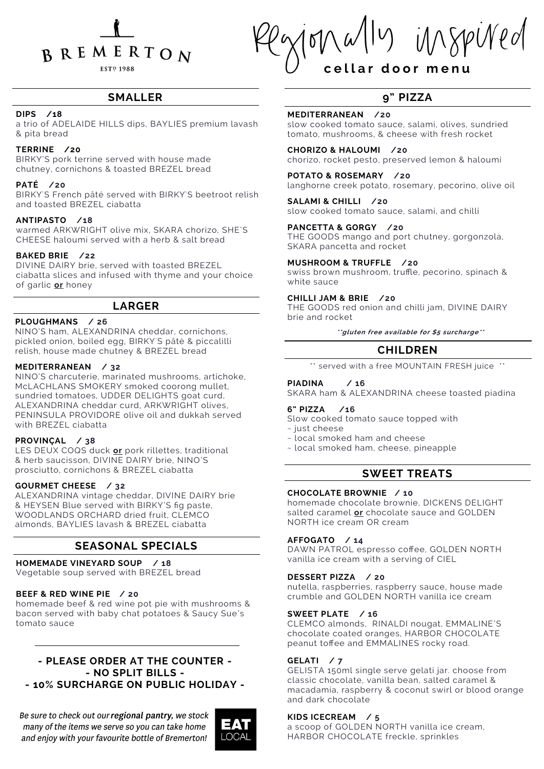

**ESTP 1988** 

11y imspined

## **c e l l a r d o o r m e n u**

## **SMALLER**

## **DIPS /18**

a trio of ADELAIDE HILLS dips, BAYLIES premium lavash & pita bread

## **TERRINE /20**

BIRKY'S pork terrine served with house made chutney, cornichons & toasted BREZEL bread

## **PATÉ /20**

BIRKY'S French pâté served with BIRKY'S beetroot relish and toasted BREZEL ciabatta

## **ANTIPASTO /18**

warmed ARKWRIGHT olive mix, SKARA chorizo, SHE'S CHEESE haloumi served with a herb & salt bread

## **BAKED BRIE /22**

DIVINE DAIRY brie, served with toasted BREZEL ciabatta slices and infused with thyme and your choice of garlic **or** honey

## **LARGER**

#### **PLOUGHMANS / 26**

NINO'S ham, ALEXANDRINA cheddar, cornichons, pickled onion, boiled egg, BIRKY'S pâté & piccalilli relish, house made chutney & BREZEL bread

### **MEDITERRANEAN / 32**

NINO'S charcuterie, marinated mushrooms, artichoke, McLACHLANS SMOKERY smoked coorong mullet, sundried tomatoes, UDDER DELIGHTS goat curd, ALEXANDRINA cheddar curd, ARKWRIGHT olives, PENINSULA PROVIDORE olive oil and dukkah served with BREZEL ciabatta

#### **PROVINÇAL / 38**

LES DEUX COQS duck **or** pork rillettes, traditional & herb saucisson, DIVINE DAIRY brie, NINO'S prosciutto, cornichons & BREZEL ciabatta

## **GOURMET CHEESE / 32**

ALEXANDRINA vintage cheddar, DIVINE DAIRY brie & HEYSEN Blue served with BIRKY'S fig paste, WOODLANDS ORCHARD dried fruit, CLEMCO almonds, BAYLIES lavash & BREZEL ciabatta

## **SEASONAL SPECIALS**

#### **HOMEMADE VINEYARD SOUP / 18**

Vegetable soup served with BREZEL bread

#### **BEEF & RED WINE PIE / 20**

homemade beef & red wine pot pie with mushrooms & bacon served with baby chat potatoes & Saucy Sue's tomato sauce

## **- PLEASE ORDER AT THE COUNTER - - NO SPLIT BILLS - - 10% SURCHARGE ON PUBLIC HOLIDAY -**

Be sure to check out our regional pantry, we stock many of the items we serve so you can take home and enjoy with your favourite bottle of Bremerton!



## **9" PIZZA**

## **MEDITERRANEAN /20**

slow cooked tomato sauce, salami, olives, sundried tomato, mushrooms, & cheese with fresh rocket

**CHORIZO & HALOUMI /20** chorizo, rocket pesto, preserved lemon & haloumi

**POTATO & ROSEMARY /20** langhorne creek potato, rosemary, pecorino, olive oil

**SALAMI & CHILLI /20** slow cooked tomato sauce, salami, and chilli

**PANCETTA & GORGY /20** THE GOODS mango and port chutney, gorgonzola, SKARA pancetta and rocket

#### **MUSHROOM & TRUFFLE /20**

swiss brown mushroom, truffle, pecorino, spinach & white sauce

## **CHILLI JAM & BRIE /20**

THE GOODS red onion and chilli jam, DIVINE DAIRY brie and rocket

**\*\*gluten free available for \$5 surcharge\*\***

## **CHILDREN**

\*\* served with a free MOUNTAIN FRESH juice \*\*

## **PIADINA / 16**

SKARA ham & ALEXANDRINA cheese toasted piadina

## **6" PIZZA /16**

Slow cooked tomato sauce topped with

- ~ just cheese
- ~ local smoked ham and cheese
- ~ local smoked ham, cheese, pineapple

## **SWEET TREATS**

## **CHOCOLATE BROWNIE / 10**

homemade chocolate brownie, DICKENS DELIGHT salted caramel **or** chocolate sauce and GOLDEN NORTH ice cream OR cream

## **AFFOGATO / 14**

DAWN PATROL espresso coffee, GOLDEN NORTH vanilla ice cream with a serving of CIEL

## **DESSERT PIZZA / 20**

nutella, raspberries, raspberry sauce, house made crumble and GOLDEN NORTH vanilla ice cream

#### **SWEET PLATE / 16**

CLEMCO almonds, RINALDI nougat, EMMALINE'S chocolate coated oranges, HARBOR CHOCOLATE peanut toffee and EMMALINES rocky road.

#### **GELATI / 7**

GELISTA 150ml single serve gelati jar. choose from classic chocolate, vanilla bean, salted caramel & macadamia, raspberry & coconut swirl or blood orange and dark chocolate

#### **KIDS ICECREAM / 5**

a scoop of GOLDEN NORTH vanilla ice cream, HARBOR CHOCOLATE freckle, sprinkles